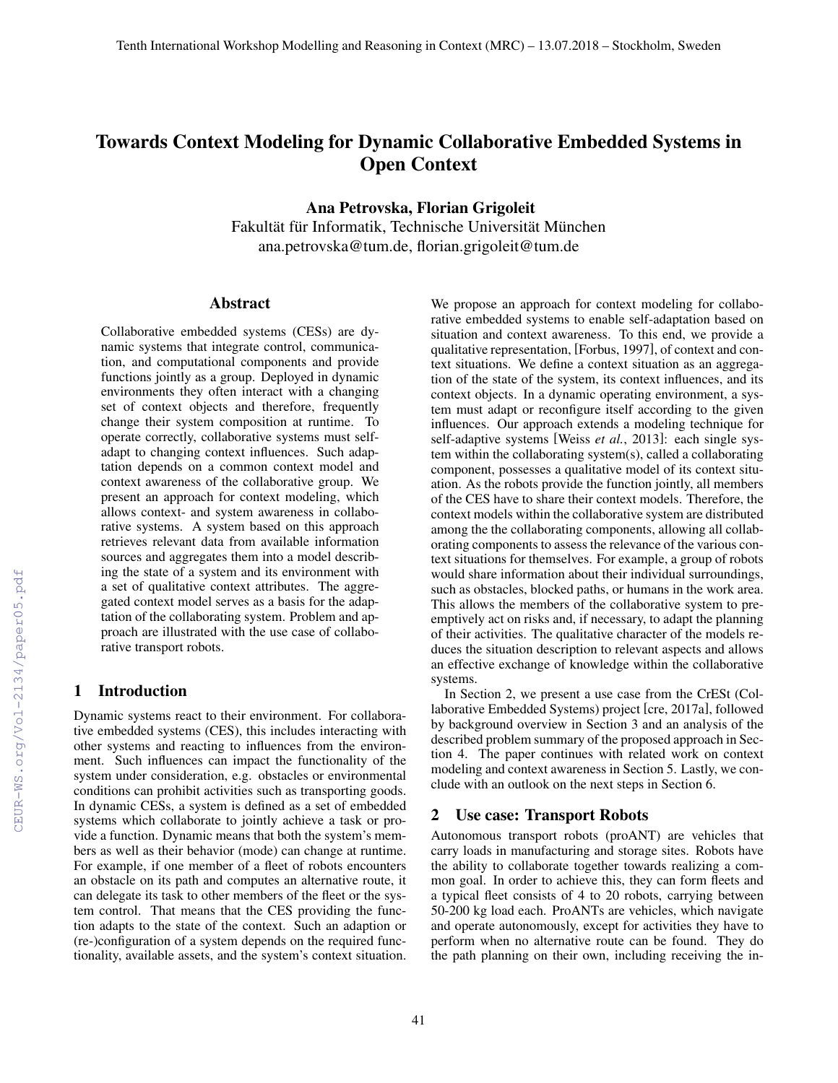# Towards Context Modeling for Dynamic Collaborative Embedded Systems in Open Context

Ana Petrovska, Florian Grigoleit

Fakultät für Informatik, Technische Universität München ana.petrovska@tum.de, florian.grigoleit@tum.de

#### Abstract

Collaborative embedded systems (CESs) are dynamic systems that integrate control, communication, and computational components and provide functions jointly as a group. Deployed in dynamic environments they often interact with a changing set of context objects and therefore, frequently change their system composition at runtime. To operate correctly, collaborative systems must selfadapt to changing context influences. Such adaptation depends on a common context model and context awareness of the collaborative group. We present an approach for context modeling, which allows context- and system awareness in collaborative systems. A system based on this approach retrieves relevant data from available information sources and aggregates them into a model describing the state of a system and its environment with a set of qualitative context attributes. The aggregated context model serves as a basis for the adaptation of the collaborating system. Problem and approach are illustrated with the use case of collaborative transport robots.

### 1 Introduction

Dynamic systems react to their environment. For collaborative embedded systems (CES), this includes interacting with other systems and reacting to influences from the environment. Such influences can impact the functionality of the system under consideration, e.g. obstacles or environmental conditions can prohibit activities such as transporting goods. In dynamic CESs, a system is defined as a set of embedded systems which collaborate to jointly achieve a task or provide a function. Dynamic means that both the system's members as well as their behavior (mode) can change at runtime. For example, if one member of a fleet of robots encounters an obstacle on its path and computes an alternative route, it can delegate its task to other members of the fleet or the system control. That means that the CES providing the function adapts to the state of the context. Such an adaption or (re-)configuration of a system depends on the required functionality, available assets, and the system's context situation. We propose an approach for context modeling for collaborative embedded systems to enable self-adaptation based on situation and context awareness. To this end, we provide a qualitative representation, [Forbus, 1997], of context and context situations. We define a context situation as an aggregation of the state of the system, its context influences, and its context objects. In a dynamic operating environment, a system must adapt or reconfigure itself according to the given influences. Our approach extends a modeling technique for self-adaptive systems [Weiss *et al.*, 2013]: each single system within the collaborating system(s), called a collaborating component, possesses a qualitative model of its context situation. As the robots provide the function jointly, all members of the CES have to share their context models. Therefore, the context models within the collaborative system are distributed among the the collaborating components, allowing all collaborating components to assess the relevance of the various context situations for themselves. For example, a group of robots would share information about their individual surroundings, such as obstacles, blocked paths, or humans in the work area. This allows the members of the collaborative system to preemptively act on risks and, if necessary, to adapt the planning of their activities. The qualitative character of the models reduces the situation description to relevant aspects and allows an effective exchange of knowledge within the collaborative systems.

In Section 2, we present a use case from the CrESt (Collaborative Embedded Systems) project [cre, 2017a], followed by background overview in Section 3 and an analysis of the described problem summary of the proposed approach in Section 4. The paper continues with related work on context modeling and context awareness in Section 5. Lastly, we conclude with an outlook on the next steps in Section 6.

#### 2 Use case: Transport Robots

Autonomous transport robots (proANT) are vehicles that carry loads in manufacturing and storage sites. Robots have the ability to collaborate together towards realizing a common goal. In order to achieve this, they can form fleets and a typical fleet consists of 4 to 20 robots, carrying between 50-200 kg load each. ProANTs are vehicles, which navigate and operate autonomously, except for activities they have to perform when no alternative route can be found. They do the path planning on their own, including receiving the in-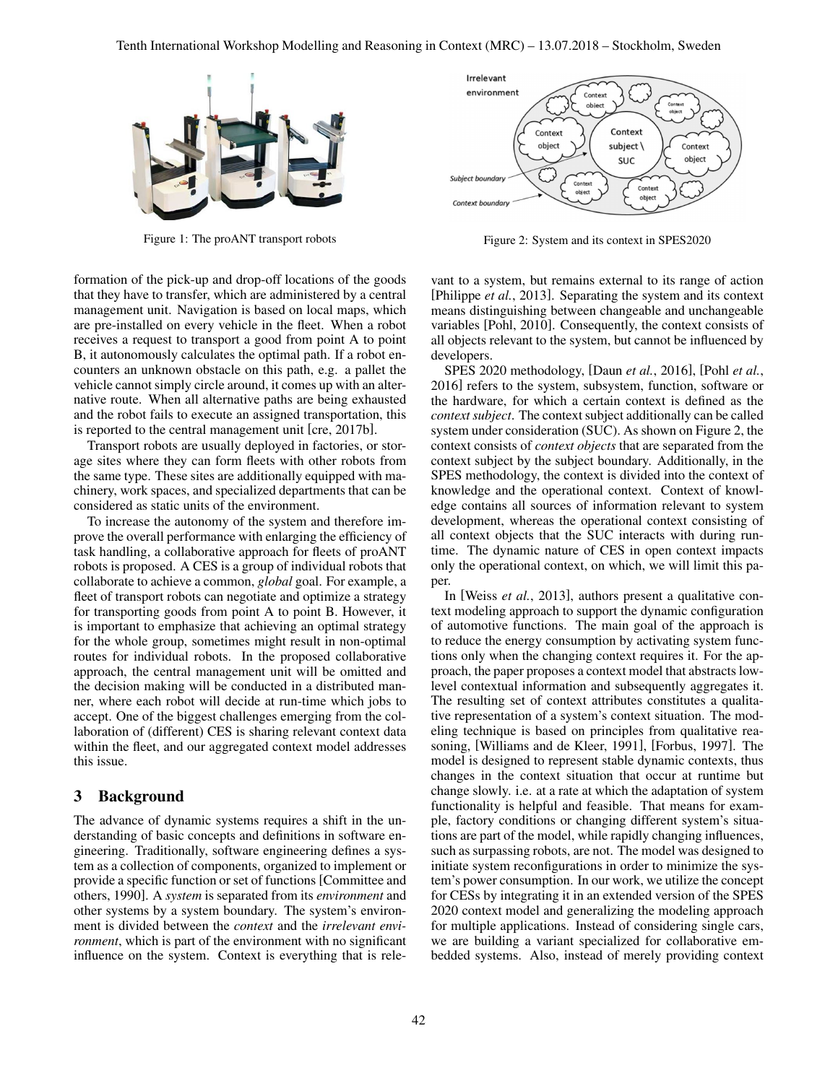

Figure 1: The proANT transport robots

formation of the pick-up and drop-off locations of the goods that they have to transfer, which are administered by a central management unit. Navigation is based on local maps, which are pre-installed on every vehicle in the fleet. When a robot receives a request to transport a good from point A to point B, it autonomously calculates the optimal path. If a robot encounters an unknown obstacle on this path, e.g. a pallet the vehicle cannot simply circle around, it comes up with an alternative route. When all alternative paths are being exhausted and the robot fails to execute an assigned transportation, this is reported to the central management unit [cre, 2017b].

Transport robots are usually deployed in factories, or storage sites where they can form fleets with other robots from the same type. These sites are additionally equipped with machinery, work spaces, and specialized departments that can be considered as static units of the environment.

To increase the autonomy of the system and therefore improve the overall performance with enlarging the efficiency of task handling, a collaborative approach for fleets of proANT robots is proposed. A CES is a group of individual robots that collaborate to achieve a common, *global* goal. For example, a fleet of transport robots can negotiate and optimize a strategy for transporting goods from point A to point B. However, it is important to emphasize that achieving an optimal strategy for the whole group, sometimes might result in non-optimal routes for individual robots. In the proposed collaborative approach, the central management unit will be omitted and the decision making will be conducted in a distributed manner, where each robot will decide at run-time which jobs to accept. One of the biggest challenges emerging from the collaboration of (different) CES is sharing relevant context data within the fleet, and our aggregated context model addresses this issue.

#### 3 Background

The advance of dynamic systems requires a shift in the understanding of basic concepts and definitions in software engineering. Traditionally, software engineering defines a system as a collection of components, organized to implement or provide a specific function or set of functions [Committee and others, 1990]. A *system* is separated from its *environment* and other systems by a system boundary. The system's environment is divided between the *context* and the *irrelevant environment*, which is part of the environment with no significant influence on the system. Context is everything that is rele-



Figure 2: System and its context in SPES2020

vant to a system, but remains external to its range of action [Philippe *et al.*, 2013]. Separating the system and its context means distinguishing between changeable and unchangeable variables [Pohl, 2010]. Consequently, the context consists of all objects relevant to the system, but cannot be influenced by developers.

SPES 2020 methodology, [Daun *et al.*, 2016], [Pohl *et al.*, 2016] refers to the system, subsystem, function, software or the hardware, for which a certain context is defined as the *context subject*. The context subject additionally can be called system under consideration (SUC). As shown on Figure 2, the context consists of *context objects* that are separated from the context subject by the subject boundary. Additionally, in the SPES methodology, the context is divided into the context of knowledge and the operational context. Context of knowledge contains all sources of information relevant to system development, whereas the operational context consisting of all context objects that the SUC interacts with during runtime. The dynamic nature of CES in open context impacts only the operational context, on which, we will limit this paper.

In [Weiss *et al.*, 2013], authors present a qualitative context modeling approach to support the dynamic configuration of automotive functions. The main goal of the approach is to reduce the energy consumption by activating system functions only when the changing context requires it. For the approach, the paper proposes a context model that abstracts lowlevel contextual information and subsequently aggregates it. The resulting set of context attributes constitutes a qualitative representation of a system's context situation. The modeling technique is based on principles from qualitative reasoning, [Williams and de Kleer, 1991], [Forbus, 1997]. The model is designed to represent stable dynamic contexts, thus changes in the context situation that occur at runtime but change slowly. i.e. at a rate at which the adaptation of system functionality is helpful and feasible. That means for example, factory conditions or changing different system's situations are part of the model, while rapidly changing influences, such as surpassing robots, are not. The model was designed to initiate system reconfigurations in order to minimize the system's power consumption. In our work, we utilize the concept for CESs by integrating it in an extended version of the SPES 2020 context model and generalizing the modeling approach for multiple applications. Instead of considering single cars, we are building a variant specialized for collaborative embedded systems. Also, instead of merely providing context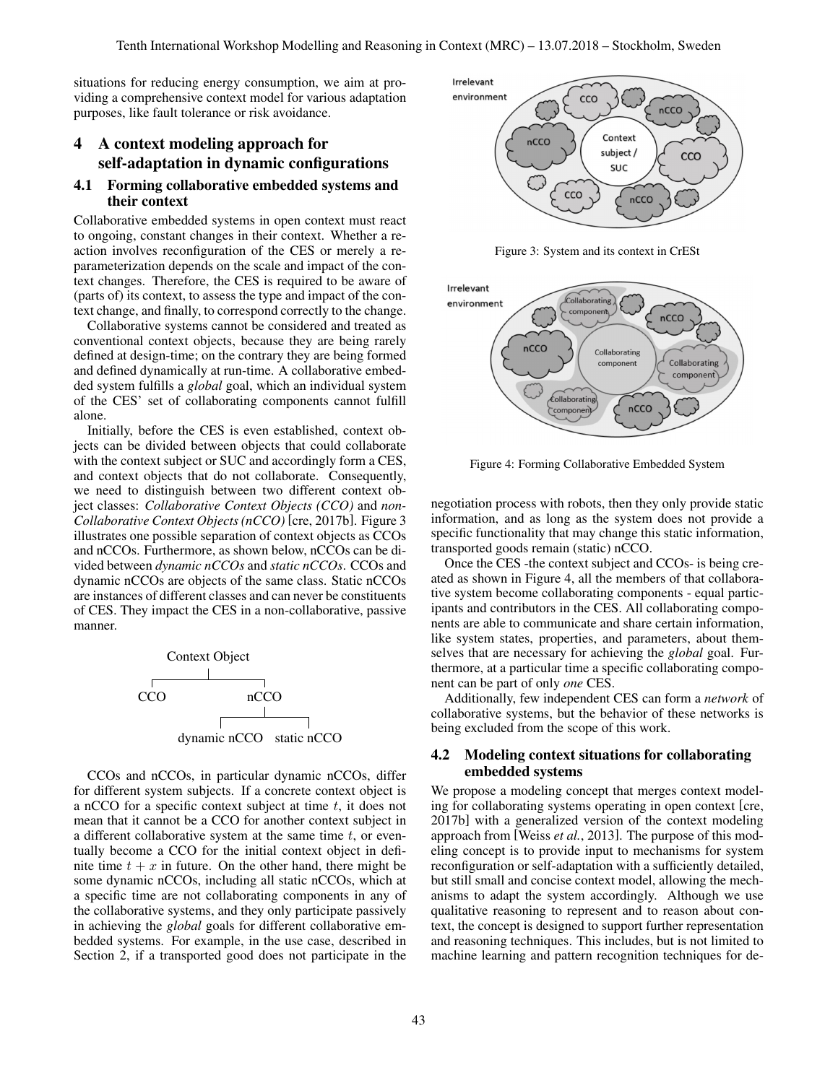situations for reducing energy consumption, we aim at providing a comprehensive context model for various adaptation purposes, like fault tolerance or risk avoidance.

## 4 A context modeling approach for self-adaptation in dynamic configurations

#### 4.1 Forming collaborative embedded systems and their context

Collaborative embedded systems in open context must react to ongoing, constant changes in their context. Whether a reaction involves reconfiguration of the CES or merely a reparameterization depends on the scale and impact of the context changes. Therefore, the CES is required to be aware of (parts of) its context, to assess the type and impact of the context change, and finally, to correspond correctly to the change.

Collaborative systems cannot be considered and treated as conventional context objects, because they are being rarely defined at design-time; on the contrary they are being formed and defined dynamically at run-time. A collaborative embedded system fulfills a *global* goal, which an individual system of the CES' set of collaborating components cannot fulfill alone.

Initially, before the CES is even established, context objects can be divided between objects that could collaborate with the context subject or SUC and accordingly form a CES, and context objects that do not collaborate. Consequently, we need to distinguish between two different context object classes: *Collaborative Context Objects (CCO)* and *non-Collaborative Context Objects (nCCO)* [cre, 2017b]. Figure 3 illustrates one possible separation of context objects as CCOs and nCCOs. Furthermore, as shown below, nCCOs can be divided between *dynamic nCCOs* and *static nCCOs*. CCOs and dynamic nCCOs are objects of the same class. Static nCCOs are instances of different classes and can never be constituents of CES. They impact the CES in a non-collaborative, passive manner.



CCOs and nCCOs, in particular dynamic nCCOs, differ for different system subjects. If a concrete context object is a nCCO for a specific context subject at time  $t$ , it does not mean that it cannot be a CCO for another context subject in a different collaborative system at the same time  $t$ , or eventually become a CCO for the initial context object in definite time  $t + x$  in future. On the other hand, there might be some dynamic nCCOs, including all static nCCOs, which at a specific time are not collaborating components in any of the collaborative systems, and they only participate passively in achieving the *global* goals for different collaborative embedded systems. For example, in the use case, described in Section 2, if a transported good does not participate in the



Figure 3: System and its context in CrESt



Figure 4: Forming Collaborative Embedded System

negotiation process with robots, then they only provide static information, and as long as the system does not provide a specific functionality that may change this static information, transported goods remain (static) nCCO.

Once the CES -the context subject and CCOs- is being created as shown in Figure 4, all the members of that collaborative system become collaborating components - equal participants and contributors in the CES. All collaborating components are able to communicate and share certain information, like system states, properties, and parameters, about themselves that are necessary for achieving the *global* goal. Furthermore, at a particular time a specific collaborating component can be part of only *one* CES.

Additionally, few independent CES can form a *network* of collaborative systems, but the behavior of these networks is being excluded from the scope of this work.

#### 4.2 Modeling context situations for collaborating embedded systems

We propose a modeling concept that merges context modeling for collaborating systems operating in open context [cre, 2017b] with a generalized version of the context modeling approach from [Weiss *et al.*, 2013]. The purpose of this modeling concept is to provide input to mechanisms for system reconfiguration or self-adaptation with a sufficiently detailed, but still small and concise context model, allowing the mechanisms to adapt the system accordingly. Although we use qualitative reasoning to represent and to reason about context, the concept is designed to support further representation and reasoning techniques. This includes, but is not limited to machine learning and pattern recognition techniques for de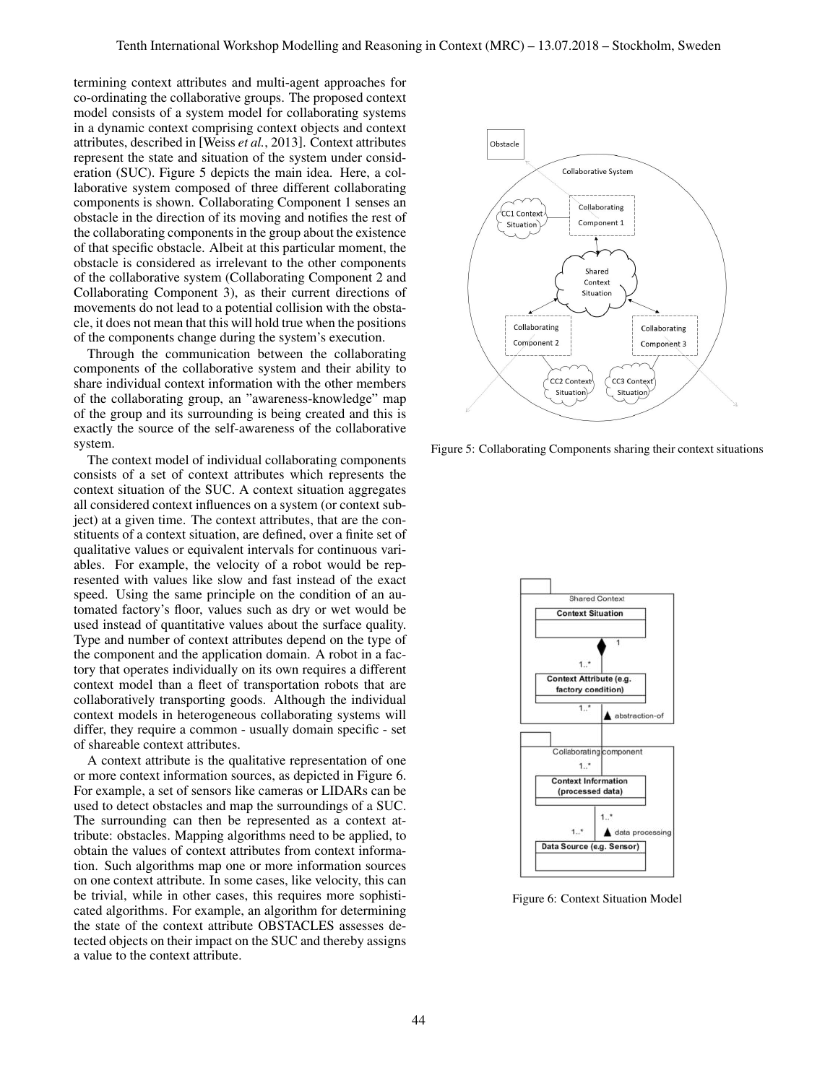termining context attributes and multi-agent approaches for co-ordinating the collaborative groups. The proposed context model consists of a system model for collaborating systems in a dynamic context comprising context objects and context attributes, described in [Weiss *et al.*, 2013]. Context attributes represent the state and situation of the system under consideration (SUC). Figure 5 depicts the main idea. Here, a collaborative system composed of three different collaborating components is shown. Collaborating Component 1 senses an obstacle in the direction of its moving and notifies the rest of the collaborating components in the group about the existence of that specific obstacle. Albeit at this particular moment, the obstacle is considered as irrelevant to the other components of the collaborative system (Collaborating Component 2 and Collaborating Component 3), as their current directions of movements do not lead to a potential collision with the obstacle, it does not mean that this will hold true when the positions of the components change during the system's execution.

Through the communication between the collaborating components of the collaborative system and their ability to share individual context information with the other members of the collaborating group, an "awareness-knowledge" map of the group and its surrounding is being created and this is exactly the source of the self-awareness of the collaborative system.

The context model of individual collaborating components consists of a set of context attributes which represents the context situation of the SUC. A context situation aggregates all considered context influences on a system (or context subject) at a given time. The context attributes, that are the constituents of a context situation, are defined, over a finite set of qualitative values or equivalent intervals for continuous variables. For example, the velocity of a robot would be represented with values like slow and fast instead of the exact speed. Using the same principle on the condition of an automated factory's floor, values such as dry or wet would be used instead of quantitative values about the surface quality. Type and number of context attributes depend on the type of the component and the application domain. A robot in a factory that operates individually on its own requires a different context model than a fleet of transportation robots that are collaboratively transporting goods. Although the individual context models in heterogeneous collaborating systems will differ, they require a common - usually domain specific - set of shareable context attributes.

A context attribute is the qualitative representation of one or more context information sources, as depicted in Figure 6. For example, a set of sensors like cameras or LIDARs can be used to detect obstacles and map the surroundings of a SUC. The surrounding can then be represented as a context attribute: obstacles. Mapping algorithms need to be applied, to obtain the values of context attributes from context information. Such algorithms map one or more information sources on one context attribute. In some cases, like velocity, this can be trivial, while in other cases, this requires more sophisticated algorithms. For example, an algorithm for determining the state of the context attribute OBSTACLES assesses detected objects on their impact on the SUC and thereby assigns a value to the context attribute.



Figure 5: Collaborating Components sharing their context situations



Figure 6: Context Situation Model